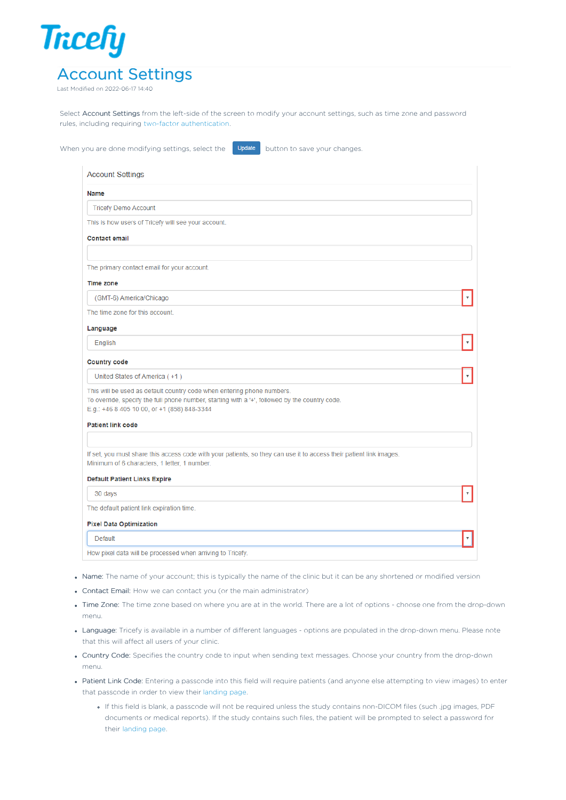

Last Modified on 2022-06-17 14:40

Select Account Settings from the left-side of the screen to modify your account settings, such as time zone and password rules, including requiring two-factor [authentication](http://www.tricefy.help/#two%20factor).

When you are done modifying settings, select the **Update** button to save your changes

 $\bar{\mathbf{v}}$ 

 $\bar{\mathbf{v}}$ 

 $\bar{\mathbf{v}}$ 

 $\bar{\mathbf{v}}$ 

# Name

**Tricefy Demo Account** 

This is how users of Tricefy will see your account

# **Contact email**

The primary contact email for your account.

#### **Time zone**

(GMT-6) America/Chicago

The time zone for this account.

## Language

English

#### **Country code**

United States of America (+1)

This will be used as default country code when entering phone numbers. To override, specify the full phone number, starting with a '+', followed by the country code E.g.: +46 8 405 10 00, or +1 (858) 848-3344

## **Patient link code**

If set, you must share this access code with your patients, so they can use it to access their patient link images Minimum of 6 characters, 1 letter, 1 number.

## **Default Patient Links Expire**

30 days

The default patient link expiration time.

#### **Pixel Data Optimization**

#### Default

How pixel data will be processed when arriving to Tricefy.

- Name: The name of your account; this is typically the name of the clinic but it can be any shortened or modified version
- Contact Email: How we can contact you (or the main administrator)
- Time Zone: The time zone based on where you are at in the world. There are a lot of options choose one from the drop-down menu.
- Language: Tricefy is available in a number of different languages options are populated in the drop-down menu. Please note that this will affect all users of your clinic.
- Country Code: Specifies the country code to input when sending text messages. Choose your country from the drop-down menu.
- Patient Link Code: Entering a passcode into this field will require patients (and anyone else attempting to view images) to enter that passcode in order to view their [landing](http://www.tricefy.help/help/patient-landing-page) page.
	- If this field is blank, a passcode will not be required unless the study contains non-DICOM files (such .jpg images, PDF documents or medical reports). If the study contains such files, the patient will be prompted to select a password for their [landing](http://www.tricefy.help/help/patient-landing-page) page.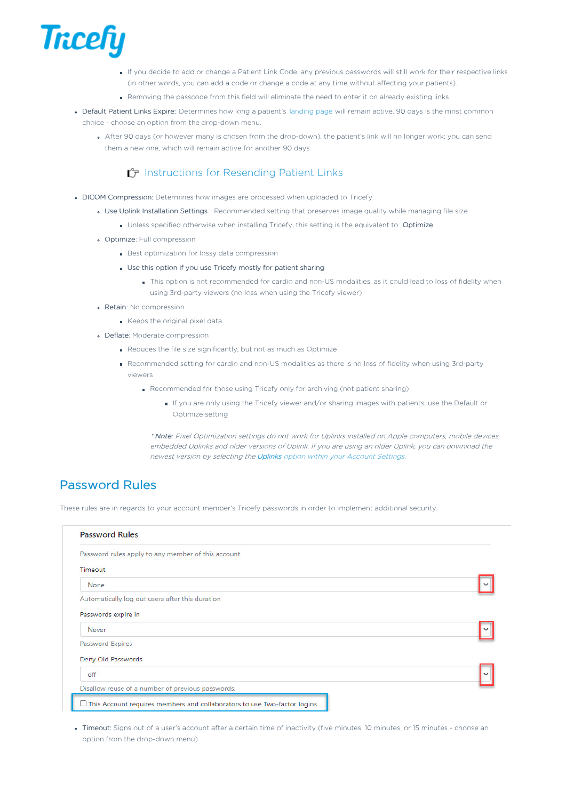

- If you decide to add or change a Patient Link Code, any previous passwords will still work for their respective links (in other words, you can add a code or change a code at any time without affecting your patients).
- Removing the passcode from this field will eliminate the need to enter it on already existing links
- Default Patient Links Expire: Determines how long a patient's [landing](http://www.tricefy.help/help/patient-landing-page) page will remain active. 90 days is the most common choice - choose an option from the drop-down menu.
	- After 90 days (or however many is chosen from the drop-down), the patient's link will no longer work; you can send them a new one, which will remain active for another 90 days

# [Instructions](http://www.tricefy.help/help/resending-images) for Resending Patient Links

- DICOM Compression: Determines how images are processed when uploaded to Tricefy
	- Use Uplink Installation Settings : Recommended setting that preserves image quality while managing file size
		- . Unless specified otherwise when installing Tricefy, this setting is the equivalent to Optimize
	- **Optimize:** Full compression
		- **Best optimization for lossy data compression**
		- Use this option if you use Tricefy mostly for patient sharing
			- This option is not recommended for cardio and non-US modalities, as it could lead to loss of fidelity when using 3rd-party viewers (no loss when using the Tricefy viewer)
	- Retain: No compression
		- Keeps the original pixel data
	- Deflate: Moderate compression
		- Reduces the file size significantly, but not as much as Optimize
		- Recommended setting for cardio and non-US modalities as there is no loss of fidelity when using 3rd-party viewers
			- Recommended for those using Tricefy only for archiving (not patient sharing)
				- If you are only using the Tricefy viewer and/or sharing images with patients, use the Default or Optimize setting

\* Note: Pixel Optimization settings do not work for Uplinks installed on Apple computers, mobile devices, embedded Uplinks and older versions of Uplink. If you are using an older Uplink, you can download the newest version by selecting the Uplinks option within your Account [Settings.](http://www.tricefy.help/help/uplinks)

# Password Rules

These rules are in regards to your account member's Tricefy passwords in order to implement additional security.

| <b>Password Rules</b>                                                           |  |
|---------------------------------------------------------------------------------|--|
| Password rules apply to any member of this account                              |  |
| Timeout                                                                         |  |
| None                                                                            |  |
| Automatically log out users after this duration                                 |  |
| Passwords expire in                                                             |  |
| Never                                                                           |  |
| Password Expires                                                                |  |
| Deny Old Passwords                                                              |  |
| off                                                                             |  |
| Disallow reuse of a number of previous passwords.                               |  |
| $\Box$ This Account requires members and collaborators to use Two-factor logins |  |

Timeout: Signs out of a user's account after a certain time of inactivity (five minutes, 10 minutes, or 15 minutes - choose an option from the drop-down menu)